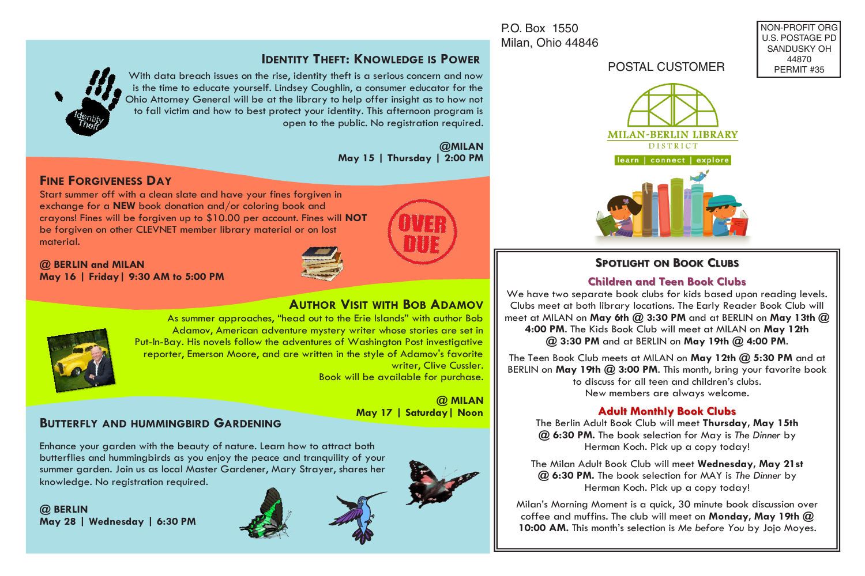P.O. Box 1550 Milan, Ohio 44846

## **IDENTITY THEFT: KNOWLEDGE IS POWER**

With data breach issues on the rise, identity theft is a serious concern and now is the time to educate yourself. Lindsey Coughlin, a consumer educator for the Ohio Attorney General will be at the library to help offer insight as to how not to fall victim and how to best protect your identity. This afternoon program is open to the public. No registration required.

> **@MILAN May 15 | Thursday | 2:00 PM**

## **FINE FORGIVENESS DAY**

Start summer off with a clean slate and have your fines forgiven in exchange for a **NEW** book donation and/or coloring book and crayons! Fines will be forgiven up to \$10.00 per account. Fines will **NOT**  be forgiven on other CLEVNET member library material or on lost material.

**@ BERLIN and MILAN May 16 | Friday| 9:30 AM to 5:00 PM**



# **AUTHOR VISIT WITH BOB ADAMOV**



As summer approaches, "head out to the Erie Islands" with author Bob Adamov, American adventure mystery writer whose stories are set in Put-In-Bay. His novels follow the adventures of Washington Post investigative reporter, Emerson Moore, and are written in the style of Adamov's favorite writer, Clive Cussler. Book will be available for purchase.

> **@ MILAN May 17 | Saturday| Noon**

### **BUTTERFLY AND HUMMINGBIRD GARDENING**

Enhance your garden with the beauty of nature. Learn how to attract both butterflies and hummingbirds as you enjoy the peace and tranquility of your summer garden. Join us as local Master Gardener, Mary Strayer, shares her knowledge. No registration required.







### POSTAL CUSTOMER

NON-PROFIT ORG U.S. POSTAGE PD SANDUSKY OH 44870 PERMIT #35



### **SPOTLIGHT ON BOOK CLUBS**

#### **Children and Teen Book Clubs Children and Teen Book Clubs**

We have two separate book clubs for kids based upon reading levels. Clubs meet at both library locations. The Early Reader Book Club will meet at MILAN on **May 6th @ 3:30 PM** and at BERLIN on **May 13th @ 4:00 PM**. The Kids Book Club will meet at MILAN on **May 12th @ 3:30 PM** and at BERLIN on **May 19th @ 4:00 PM**.

The Teen Book Club meets at MILAN on **May 12th @ 5:30 PM** and at BERLIN on **May 19th @ 3:00 PM**. This month, bring your favorite book to discuss for all teen and children's clubs. New members are always welcome.

#### **Adult Monthly Book Clubs Adult Monthly Book Clubs**

The Berlin Adult Book Club will meet **Thursday, May 15th @ 6:30 PM.** The book selection for May is *The Dinner* by Herman Koch. Pick up a copy today!

The Milan Adult Book Club will meet **Wednesday, May 21st @ 6:30 PM.** The book selection for MAY is *The Dinner* by Herman Koch. Pick up a copy today!

Milan's Morning Moment is a quick, 30 minute book discussion over coffee and muffins. The club will meet on **Monday, May 19th @ 10:00 AM.** This month's selection is *Me before You* by Jojo Moyes*.*